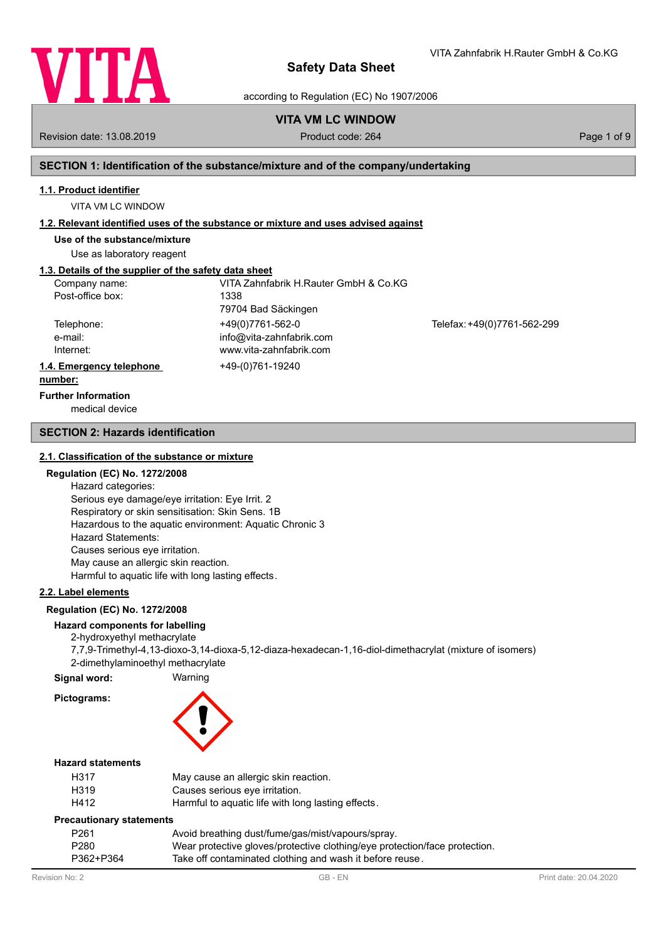

according to Regulation (EC) No 1907/2006

# **VITA VM LC WINDOW**

Revision date: 13.08.2019 **Product code: 264** Product code: 264 Page 1 of 9

VITA Zahnfabrik H.Rauter GmbH & Co.KG

# **SECTION 1: Identification of the substance/mixture and of the company/undertaking**

#### **1.1. Product identifier**

VITA VM LC WINDOW

#### **1.2. Relevant identified uses of the substance or mixture and uses advised against**

**Use of the substance/mixture**

Use as laboratory reagent

# **1.3. Details of the supplier of the safety data sheet**

| Company name:            | VITA Zahnfabrik H.Rauter GmbH & Co.KG |                             |
|--------------------------|---------------------------------------|-----------------------------|
| Post-office box:         | 1338                                  |                             |
|                          | 79704 Bad Säckingen                   |                             |
| Telephone:               | +49(0)7761-562-0                      | Telefax: +49(0)7761-562-299 |
| e-mail:                  | info@vita-zahnfabrik.com              |                             |
| Internet:                | www.vita-zahnfabrik.com               |                             |
| 1.4. Emergency telephone | +49-(0)761-19240                      |                             |
| numhar:                  |                                       |                             |

# **number:**

medical device **Further Information**

#### **SECTION 2: Hazards identification**

#### **2.1. Classification of the substance or mixture**

#### **Regulation (EC) No. 1272/2008**

Hazard categories: Serious eye damage/eye irritation: Eye Irrit. 2 Respiratory or skin sensitisation: Skin Sens. 1B Hazardous to the aquatic environment: Aquatic Chronic 3 Hazard Statements: Causes serious eye irritation. May cause an allergic skin reaction. Harmful to aquatic life with long lasting effects.

# **2.2. Label elements**

#### **Regulation (EC) No. 1272/2008**

# **Hazard components for labelling**

2-hydroxyethyl methacrylate 7,7,9-Trimethyl-4,13-dioxo-3,14-dioxa-5,12-diaza-hexadecan-1,16-diol-dimethacrylat (mixture of isomers) 2-dimethylaminoethyl methacrylate

**Signal word:** Warning

# **Pictograms:**



#### **Hazard statements**

| H317              | May cause an allergic skin reaction.               |
|-------------------|----------------------------------------------------|
| H <sub>3</sub> 19 | Causes serious eve irritation.                     |
| H412              | Harmful to aquatic life with long lasting effects. |

#### **Precautionary statements**

| P <sub>261</sub> | Avoid breathing dust/fume/gas/mist/vapours/spray.                          |
|------------------|----------------------------------------------------------------------------|
| P <sub>280</sub> | Wear protective gloves/protective clothing/eye protection/face protection. |
| P362+P364        | Take off contaminated clothing and wash it before reuse.                   |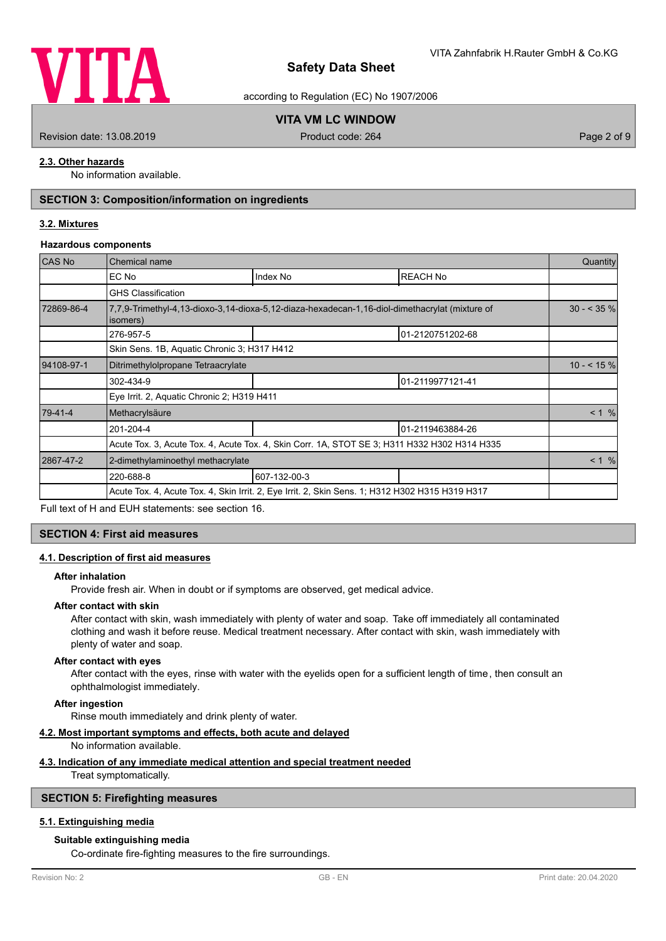

according to Regulation (EC) No 1907/2006

# **VITA VM LC WINDOW**

Revision date: 13.08.2019 **Product code: 264** Product code: 264 Page 2 of 9

# **2.3. Other hazards**

No information available.

# **SECTION 3: Composition/information on ingredients**

### **3.2. Mixtures**

#### **Hazardous components**

| <b>CAS No</b> | Chemical name                                                                                              |                                                                                              |                  |               |  |
|---------------|------------------------------------------------------------------------------------------------------------|----------------------------------------------------------------------------------------------|------------------|---------------|--|
|               | EC No                                                                                                      | Index No                                                                                     | <b>REACH No</b>  |               |  |
|               | <b>GHS Classification</b>                                                                                  |                                                                                              |                  |               |  |
| 72869-86-4    | 7,7,9-Trimethyl-4,13-dioxo-3,14-dioxa-5,12-diaza-hexadecan-1,16-diol-dimethacrylat (mixture of<br>isomers) |                                                                                              |                  | $30 - 535 \%$ |  |
|               | 276-957-5                                                                                                  |                                                                                              | 01-2120751202-68 |               |  |
|               | Skin Sens. 1B, Aquatic Chronic 3; H317 H412                                                                |                                                                                              |                  |               |  |
| 94108-97-1    | Ditrimethylolpropane Tetraacrylate                                                                         |                                                                                              |                  |               |  |
|               | 302-434-9                                                                                                  |                                                                                              | 01-2119977121-41 |               |  |
|               | Eye Irrit. 2, Aquatic Chronic 2; H319 H411                                                                 |                                                                                              |                  |               |  |
| 79-41-4       | Methacrylsäure                                                                                             |                                                                                              |                  | < 1 %         |  |
|               | 201-204-4                                                                                                  |                                                                                              | 01-2119463884-26 |               |  |
|               |                                                                                                            | Acute Tox. 3, Acute Tox. 4, Acute Tox. 4, Skin Corr. 1A, STOT SE 3; H311 H332 H302 H314 H335 |                  |               |  |
| 2867-47-2     | 2-dimethylaminoethyl methacrylate                                                                          |                                                                                              |                  | $< 1$ %       |  |
|               | 220-688-8                                                                                                  | 607-132-00-3                                                                                 |                  |               |  |
|               | Acute Tox. 4, Acute Tox. 4, Skin Irrit. 2, Eye Irrit. 2, Skin Sens. 1; H312 H302 H315 H319 H317            |                                                                                              |                  |               |  |

Full text of H and EUH statements: see section 16.

#### **SECTION 4: First aid measures**

#### **4.1. Description of first aid measures**

#### **After inhalation**

Provide fresh air. When in doubt or if symptoms are observed, get medical advice.

#### **After contact with skin**

After contact with skin, wash immediately with plenty of water and soap. Take off immediately all contaminated clothing and wash it before reuse. Medical treatment necessary. After contact with skin, wash immediately with plenty of water and soap.

#### **After contact with eyes**

After contact with the eyes, rinse with water with the eyelids open for a sufficient length of time, then consult an ophthalmologist immediately.

#### **After ingestion**

Rinse mouth immediately and drink plenty of water.

#### **4.2. Most important symptoms and effects, both acute and delayed**

No information available.

#### **4.3. Indication of any immediate medical attention and special treatment needed**

Treat symptomatically.

### **SECTION 5: Firefighting measures**

### **5.1. Extinguishing media**

## **Suitable extinguishing media**

Co-ordinate fire-fighting measures to the fire surroundings.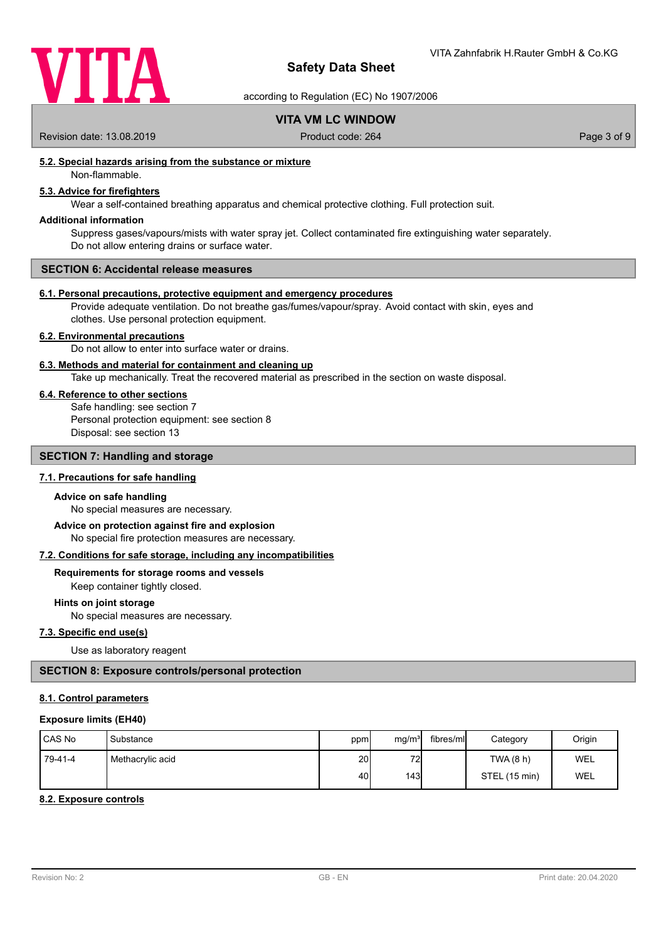

according to Regulation (EC) No 1907/2006

# **VITA VM LC WINDOW**

Revision date: 13.08.2019 <br>
Product code: 264 Page 3 of 9

# **5.2. Special hazards arising from the substance or mixture**

Non-flammable.

# **5.3. Advice for firefighters**

Wear a self-contained breathing apparatus and chemical protective clothing. Full protection suit.

### **Additional information**

Suppress gases/vapours/mists with water spray jet. Collect contaminated fire extinguishing water separately. Do not allow entering drains or surface water.

#### **SECTION 6: Accidental release measures**

#### **6.1. Personal precautions, protective equipment and emergency procedures**

Provide adequate ventilation. Do not breathe gas/fumes/vapour/spray. Avoid contact with skin, eyes and clothes. Use personal protection equipment.

#### **6.2. Environmental precautions**

Do not allow to enter into surface water or drains.

#### **6.3. Methods and material for containment and cleaning up**

Take up mechanically. Treat the recovered material as prescribed in the section on waste disposal.

#### **6.4. Reference to other sections**

Safe handling: see section 7 Personal protection equipment: see section 8 Disposal: see section 13

#### **SECTION 7: Handling and storage**

# **7.1. Precautions for safe handling**

#### **Advice on safe handling**

No special measures are necessary.

No special fire protection measures are necessary. **Advice on protection against fire and explosion**

#### **7.2. Conditions for safe storage, including any incompatibilities**

# **Requirements for storage rooms and vessels**

Keep container tightly closed.

#### **Hints on joint storage**

No special measures are necessary.

# **7.3. Specific end use(s)**

Use as laboratory reagent

### **SECTION 8: Exposure controls/personal protection**

#### **8.1. Control parameters**

#### **Exposure limits (EH40)**

| <b>ICAS No</b> | Substance        | ppm             | mg/m <sup>3</sup> | fibres/mll | Category      | Origin     |
|----------------|------------------|-----------------|-------------------|------------|---------------|------------|
| 79-41-4        | Methacrylic acid | 20 <sub>l</sub> | 72                |            | TWA(8 h)      | WEL        |
|                |                  | 40              | 143I              |            | STEL (15 min) | <b>WEL</b> |

#### **8.2. Exposure controls**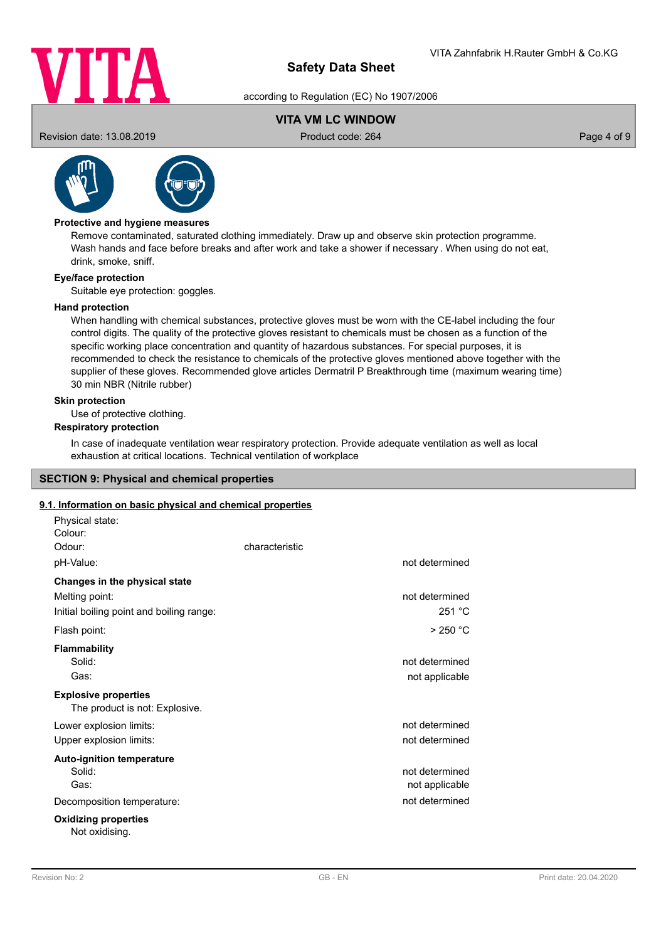

according to Regulation (EC) No 1907/2006

# **VITA VM LC WINDOW**

Revision date: 13.08.2019 **Product code: 264** Product code: 264 Page 4 of 9



# **Protective and hygiene measures**

Remove contaminated, saturated clothing immediately. Draw up and observe skin protection programme. Wash hands and face before breaks and after work and take a shower if necessary . When using do not eat, drink, smoke, sniff.

#### **Eye/face protection**

Suitable eye protection: goggles.

#### **Hand protection**

When handling with chemical substances, protective gloves must be worn with the CE-label including the four control digits. The quality of the protective gloves resistant to chemicals must be chosen as a function of the specific working place concentration and quantity of hazardous substances. For special purposes, it is recommended to check the resistance to chemicals of the protective gloves mentioned above together with the supplier of these gloves. Recommended glove articles Dermatril P Breakthrough time (maximum wearing time) 30 min NBR (Nitrile rubber)

#### **Skin protection**

Use of protective clothing.

# **Respiratory protection**

In case of inadequate ventilation wear respiratory protection. Provide adequate ventilation as well as local exhaustion at critical locations. Technical ventilation of workplace

#### **SECTION 9: Physical and chemical properties**

#### **9.1. Information on basic physical and chemical properties**

| Physical state:                                               |                |                |
|---------------------------------------------------------------|----------------|----------------|
| Colour:                                                       |                |                |
| Odour:                                                        | characteristic |                |
| pH-Value:                                                     |                | not determined |
| Changes in the physical state                                 |                |                |
| Melting point:                                                |                | not determined |
| Initial boiling point and boiling range:                      |                | 251 °C         |
| Flash point:                                                  |                | $>250$ °C      |
| <b>Flammability</b>                                           |                |                |
| Solid:                                                        |                | not determined |
| Gas:                                                          |                | not applicable |
| <b>Explosive properties</b><br>The product is not: Explosive. |                |                |
| Lower explosion limits:                                       |                | not determined |
| Upper explosion limits:                                       |                | not determined |
| <b>Auto-ignition temperature</b>                              |                |                |
| Solid:                                                        |                | not determined |
| Gas:                                                          |                | not applicable |
| Decomposition temperature:                                    |                | not determined |
| <b>Oxidizing properties</b><br>Not oxidising.                 |                |                |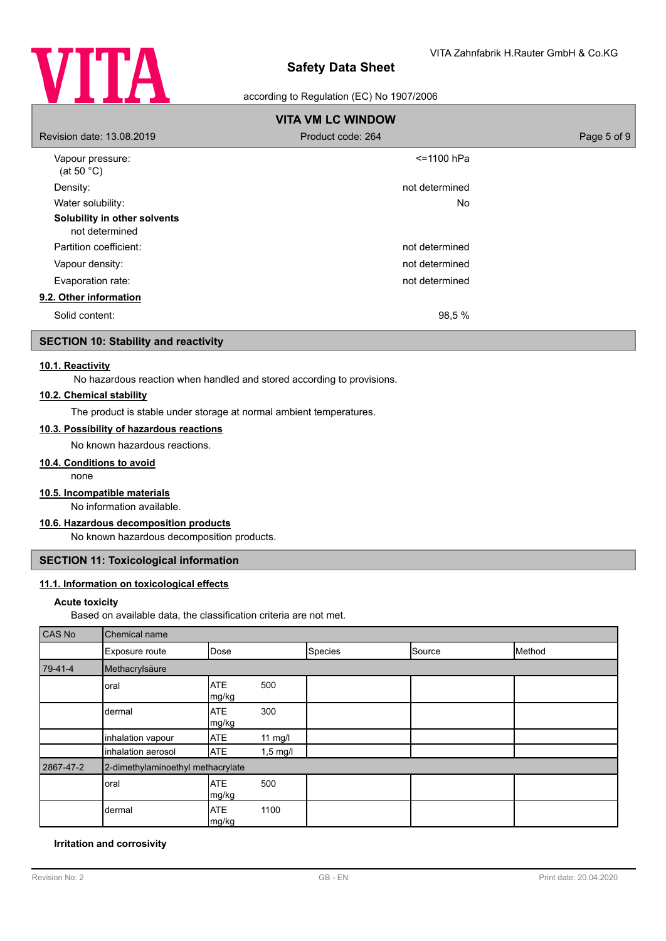

### according to Regulation (EC) No 1907/2006

| <b>VITA VM LC WINDOW</b>                       |                   |             |  |  |
|------------------------------------------------|-------------------|-------------|--|--|
| Revision date: 13.08.2019                      | Product code: 264 | Page 5 of 9 |  |  |
| Vapour pressure:<br>(at 50 $^{\circ}$ C)       | <=1100 hPa        |             |  |  |
| Density:                                       | not determined    |             |  |  |
| Water solubility:                              | No.               |             |  |  |
| Solubility in other solvents<br>not determined |                   |             |  |  |
| Partition coefficient:                         | not determined    |             |  |  |
| Vapour density:                                | not determined    |             |  |  |
| Evaporation rate:                              | not determined    |             |  |  |
| 9.2. Other information                         |                   |             |  |  |
| Solid content:                                 | 98,5 %            |             |  |  |

# **SECTION 10: Stability and reactivity**

#### **10.1. Reactivity**

No hazardous reaction when handled and stored according to provisions.

### **10.2. Chemical stability**

The product is stable under storage at normal ambient temperatures.

# **10.3. Possibility of hazardous reactions**

No known hazardous reactions.

#### **10.4. Conditions to avoid**

none

# **10.5. Incompatible materials**

No information available.

### **10.6. Hazardous decomposition products**

No known hazardous decomposition products.

# **SECTION 11: Toxicological information**

#### **11.1. Information on toxicological effects**

#### **Acute toxicity**

Based on available data, the classification criteria are not met.

| CAS No    | Chemical name                     |                     |            |         |        |        |
|-----------|-----------------------------------|---------------------|------------|---------|--------|--------|
|           | Exposure route                    | Dose                |            | Species | Source | Method |
| 79-41-4   | Methacrylsäure                    |                     |            |         |        |        |
|           | oral                              | <b>ATE</b><br>mg/kg | 500        |         |        |        |
|           | dermal                            | <b>ATE</b><br>mg/kg | 300        |         |        |        |
|           | inhalation vapour                 | <b>ATE</b>          | $11$ mg/l  |         |        |        |
|           | inhalation aerosol                | <b>ATE</b>          | $1,5$ mg/l |         |        |        |
| 2867-47-2 | 2-dimethylaminoethyl methacrylate |                     |            |         |        |        |
|           | oral                              | <b>ATE</b><br>mg/kg | 500        |         |        |        |
|           | dermal                            | <b>ATE</b><br>mg/kg | 1100       |         |        |        |

#### **Irritation and corrosivity**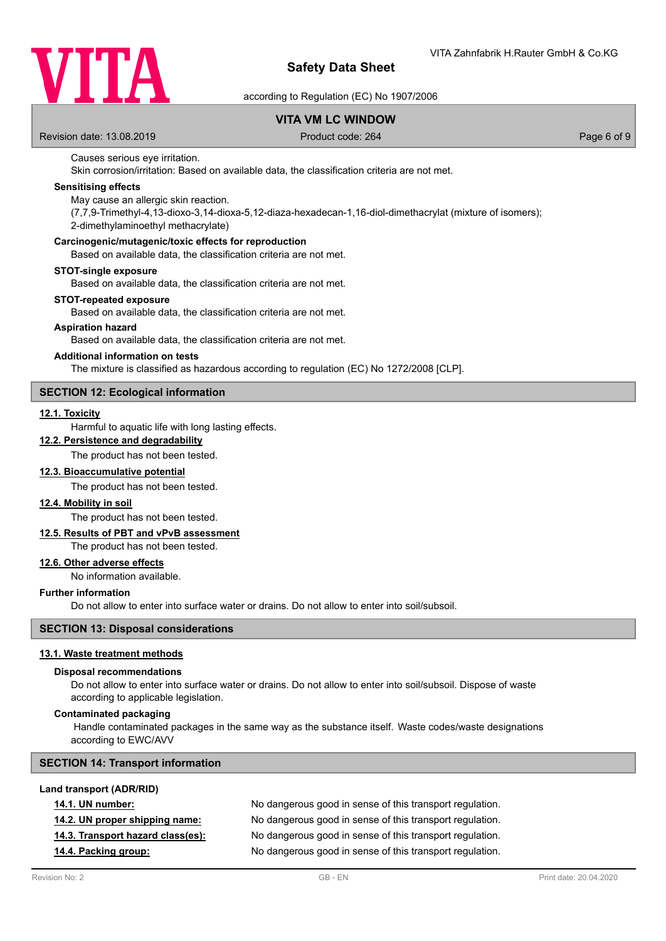

according to Regulation (EC) No 1907/2006

# **VITA VM LC WINDOW**

Revision date: 13.08.2019 **Product code: 264** Product code: 264 Page 6 of 9

#### Causes serious eye irritation.

Skin corrosion/irritation: Based on available data, the classification criteria are not met.

### **Sensitising effects**

May cause an allergic skin reaction.

(7,7,9-Trimethyl-4,13-dioxo-3,14-dioxa-5,12-diaza-hexadecan-1,16-diol-dimethacrylat (mixture of isomers); 2-dimethylaminoethyl methacrylate)

#### **Carcinogenic/mutagenic/toxic effects for reproduction**

Based on available data, the classification criteria are not met.

#### **STOT-single exposure**

Based on available data, the classification criteria are not met.

#### **STOT-repeated exposure**

Based on available data, the classification criteria are not met.

#### **Aspiration hazard**

Based on available data, the classification criteria are not met.

#### **Additional information on tests**

The mixture is classified as hazardous according to regulation (EC) No 1272/2008 [CLP].

#### **SECTION 12: Ecological information**

#### **12.1. Toxicity**

Harmful to aquatic life with long lasting effects.

# **12.2. Persistence and degradability**

The product has not been tested.

#### **12.3. Bioaccumulative potential**

The product has not been tested.

#### **12.4. Mobility in soil**

The product has not been tested.

#### **12.5. Results of PBT and vPvB assessment**

The product has not been tested.

# **12.6. Other adverse effects**

No information available.

#### **Further information**

Do not allow to enter into surface water or drains. Do not allow to enter into soil/subsoil.

### **SECTION 13: Disposal considerations**

#### **13.1. Waste treatment methods**

#### **Disposal recommendations**

Do not allow to enter into surface water or drains. Do not allow to enter into soil/subsoil. Dispose of waste according to applicable legislation.

#### **Contaminated packaging**

 Handle contaminated packages in the same way as the substance itself. Waste codes/waste designations according to EWC/AVV

#### **SECTION 14: Transport information**

#### **Land transport (ADR/RID)**

| <b>14.1. UN number:</b>           | No dangerous good in sense of this transport regulation. |
|-----------------------------------|----------------------------------------------------------|
| 14.2. UN proper shipping name:    | No dangerous good in sense of this transport regulation. |
| 14.3. Transport hazard class(es): | No dangerous good in sense of this transport regulation. |
| 14.4. Packing group:              | No dangerous good in sense of this transport regulation. |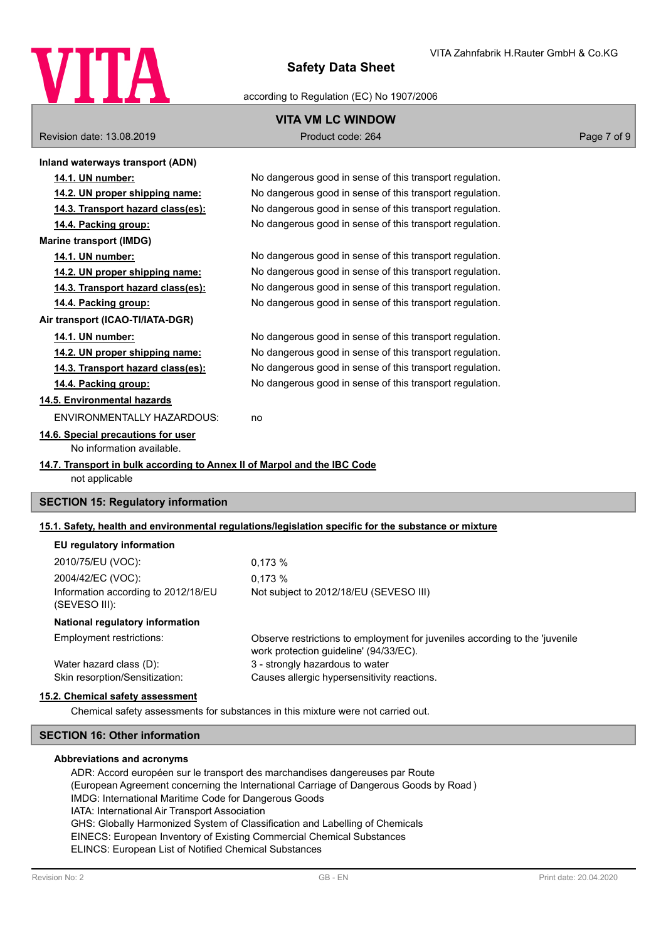

#### according to Regulation (EC) No 1907/2006

# **VITA VM LC WINDOW**

Revision date: 13.08.2019 <br>
Product code: 264 Page 7 of 9

| Inland waterways transport (ADN)                                                           |                                                                                                      |
|--------------------------------------------------------------------------------------------|------------------------------------------------------------------------------------------------------|
| 14.1. UN number:                                                                           | No dangerous good in sense of this transport regulation.                                             |
| 14.2. UN proper shipping name:                                                             | No dangerous good in sense of this transport regulation.                                             |
| 14.3. Transport hazard class(es):                                                          | No dangerous good in sense of this transport regulation.                                             |
| 14.4. Packing group:                                                                       | No dangerous good in sense of this transport regulation.                                             |
| <b>Marine transport (IMDG)</b>                                                             |                                                                                                      |
| 14.1. UN number:                                                                           | No dangerous good in sense of this transport regulation.                                             |
| 14.2. UN proper shipping name:                                                             | No dangerous good in sense of this transport regulation.                                             |
| 14.3. Transport hazard class(es):                                                          | No dangerous good in sense of this transport regulation.                                             |
| 14.4. Packing group:                                                                       | No dangerous good in sense of this transport regulation.                                             |
| Air transport (ICAO-TI/IATA-DGR)                                                           |                                                                                                      |
| 14.1. UN number:                                                                           | No dangerous good in sense of this transport regulation.                                             |
| 14.2. UN proper shipping name:                                                             | No dangerous good in sense of this transport regulation.                                             |
| 14.3. Transport hazard class(es):                                                          | No dangerous good in sense of this transport regulation.                                             |
| 14.4. Packing group:                                                                       | No dangerous good in sense of this transport regulation.                                             |
| 14.5. Environmental hazards                                                                |                                                                                                      |
| <b>ENVIRONMENTALLY HAZARDOUS:</b>                                                          | no                                                                                                   |
| 14.6. Special precautions for user<br>No information available.                            |                                                                                                      |
| 14.7. Transport in bulk according to Annex II of Marpol and the IBC Code<br>not applicable |                                                                                                      |
| <b>SECTION 15: Regulatory information</b>                                                  |                                                                                                      |
|                                                                                            | 15.1. Safety, health and environmental regulations/legislation specific for the substance or mixture |
| EU regulatory information                                                                  |                                                                                                      |
| 2010/75/EU (VOC):                                                                          | 0.173%                                                                                               |

2004/42/EC (VOC): 0,173 % Information according to 2012/18/EU (SEVESO III):

**National regulatory information**

Employment restrictions:

Observe restrictions to employment for juveniles according to the 'juvenile work protection guideline' (94/33/EC). Water hazard class (D): 3 - strongly hazardous to water Skin resorption/Sensitization: Causes allergic hypersensitivity reactions.

#### **15.2. Chemical safety assessment**

Chemical safety assessments for substances in this mixture were not carried out.

# **SECTION 16: Other information**

#### **Abbreviations and acronyms**

ADR: Accord européen sur le transport des marchandises dangereuses par Route (European Agreement concerning the International Carriage of Dangerous Goods by Road ) IMDG: International Maritime Code for Dangerous Goods IATA: International Air Transport Association GHS: Globally Harmonized System of Classification and Labelling of Chemicals EINECS: European Inventory of Existing Commercial Chemical Substances ELINCS: European List of Notified Chemical Substances

Not subject to 2012/18/EU (SEVESO III)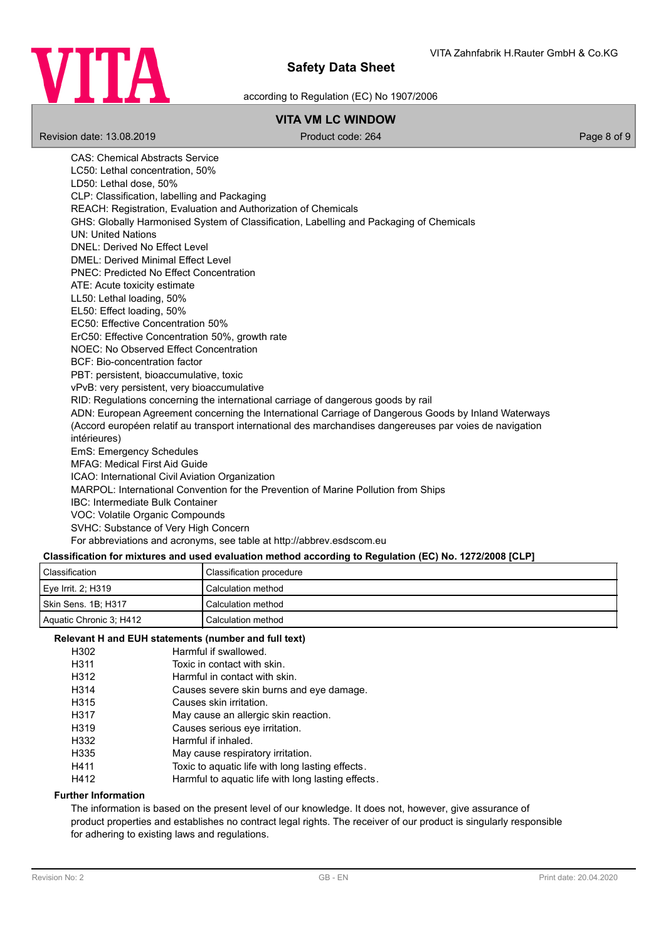

according to Regulation (EC) No 1907/2006

# **VITA VM LC WINDOW**

Revision date: 13.08.2019 **Product code: 264** Product code: 264 Page 8 of 9

CAS: Chemical Abstracts Service LC50: Lethal concentration, 50% LD50: Lethal dose, 50% CLP: Classification, labelling and Packaging REACH: Registration, Evaluation and Authorization of Chemicals GHS: Globally Harmonised System of Classification, Labelling and Packaging of Chemicals UN: United Nations DNEL: Derived No Effect Level DMEL: Derived Minimal Effect Level PNEC: Predicted No Effect Concentration ATE: Acute toxicity estimate LL50: Lethal loading, 50% EL50: Effect loading, 50% EC50: Effective Concentration 50% ErC50: Effective Concentration 50%, growth rate NOEC: No Observed Effect Concentration BCF: Bio-concentration factor PBT: persistent, bioaccumulative, toxic vPvB: very persistent, very bioaccumulative RID: Regulations concerning the international carriage of dangerous goods by rail ADN: European Agreement concerning the International Carriage of Dangerous Goods by Inland Waterways (Accord européen relatif au transport international des marchandises dangereuses par voies de navigation intérieures) EmS: Emergency Schedules MFAG: Medical First Aid Guide ICAO: International Civil Aviation Organization MARPOL: International Convention for the Prevention of Marine Pollution from Ships IBC: Intermediate Bulk Container VOC: Volatile Organic Compounds SVHC: Substance of Very High Concern For abbreviations and acronyms, see table at http://abbrev.esdscom.eu

# **Classification for mixtures and used evaluation method according to Regulation (EC) No. 1272/2008 [CLP]**

| Classification          | Classification procedure |
|-------------------------|--------------------------|
| Eye Irrit. 2; H319      | Calculation method       |
| Skin Sens. 1B: H317     | Calculation method       |
| Aquatic Chronic 3: H412 | Calculation method       |

### **Relevant H and EUH statements (number and full text)**

| H302 | Harmful if swallowed.                             |
|------|---------------------------------------------------|
| H311 | Toxic in contact with skin.                       |
| H312 | Harmful in contact with skin.                     |
| H314 | Causes severe skin burns and eye damage.          |
| H315 | Causes skin irritation.                           |
| H317 | May cause an allergic skin reaction.              |
| H319 | Causes serious eve irritation.                    |
| H332 | Harmful if inhaled.                               |
| H335 | May cause respiratory irritation.                 |
| H411 | Toxic to aquatic life with long lasting effects.  |
| H412 | Harmful to aquatic life with long lasting effects |

#### **Further Information**

The information is based on the present level of our knowledge. It does not, however, give assurance of product properties and establishes no contract legal rights. The receiver of our product is singularly responsible for adhering to existing laws and regulations.